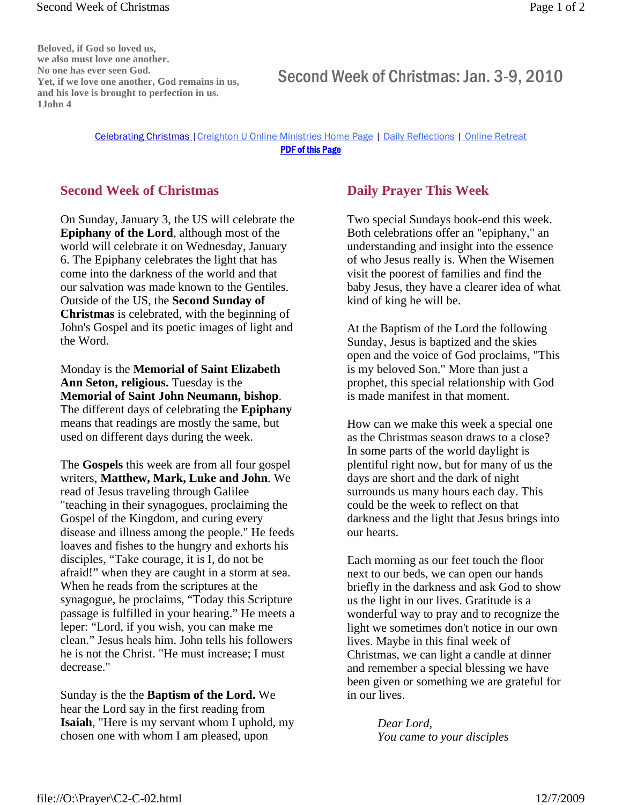**Beloved, if God so loved us, we also must love one another. No one has ever seen God. Yet, if we love one another, God remains in us, and his love is brought to perfection in us. 1John 4**

## Second Week of Christmas: Jan. 3-9, 2010

## Celebrating Christmas |Creighton U Online Ministries Home Page | Daily Reflections | Online Retreat PDF of this Page

## **Second Week of Christmas**

On Sunday, January 3, the US will celebrate the **Epiphany of the Lord**, although most of the world will celebrate it on Wednesday, January 6. The Epiphany celebrates the light that has come into the darkness of the world and that our salvation was made known to the Gentiles. Outside of the US, the **Second Sunday of Christmas** is celebrated, with the beginning of John's Gospel and its poetic images of light and the Word.

Monday is the **Memorial of Saint Elizabeth Ann Seton, religious.** Tuesday is the **Memorial of Saint John Neumann, bishop**. The different days of celebrating the **Epiphany**  means that readings are mostly the same, but used on different days during the week.

The **Gospels** this week are from all four gospel writers, **Matthew, Mark, Luke and John**. We read of Jesus traveling through Galilee "teaching in their synagogues, proclaiming the Gospel of the Kingdom, and curing every disease and illness among the people." He feeds loaves and fishes to the hungry and exhorts his disciples, "Take courage, it is I, do not be afraid!" when they are caught in a storm at sea. When he reads from the scriptures at the synagogue, he proclaims, "Today this Scripture passage is fulfilled in your hearing." He meets a leper: "Lord, if you wish, you can make me clean." Jesus heals him. John tells his followers he is not the Christ. "He must increase; I must decrease."

Sunday is the the **Baptism of the Lord.** We hear the Lord say in the first reading from **Isaiah**, "Here is my servant whom I uphold, my chosen one with whom I am pleased, upon

## **Daily Prayer This Week**

Two special Sundays book-end this week. Both celebrations offer an "epiphany," an understanding and insight into the essence of who Jesus really is. When the Wisemen visit the poorest of families and find the baby Jesus, they have a clearer idea of what kind of king he will be.

At the Baptism of the Lord the following Sunday, Jesus is baptized and the skies open and the voice of God proclaims, "This is my beloved Son." More than just a prophet, this special relationship with God is made manifest in that moment.

How can we make this week a special one as the Christmas season draws to a close? In some parts of the world daylight is plentiful right now, but for many of us the days are short and the dark of night surrounds us many hours each day. This could be the week to reflect on that darkness and the light that Jesus brings into our hearts.

Each morning as our feet touch the floor next to our beds, we can open our hands briefly in the darkness and ask God to show us the light in our lives. Gratitude is a wonderful way to pray and to recognize the light we sometimes don't notice in our own lives. Maybe in this final week of Christmas, we can light a candle at dinner and remember a special blessing we have been given or something we are grateful for in our lives.

> *Dear Lord, You came to your disciples*